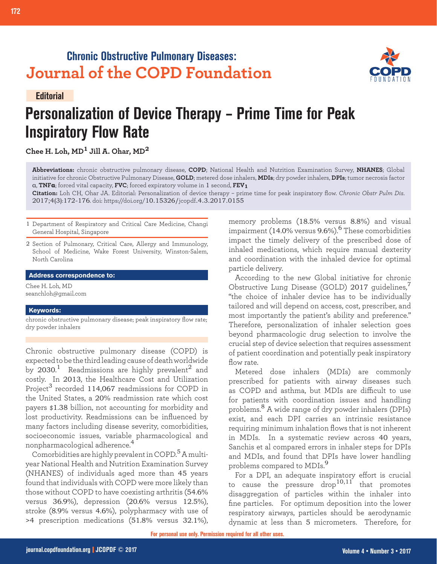## **Chronic Obstructive Pulmonary Diseases: Journal of the COPD Foundation**





## **Personalization of Device Therapy – Prime Time for Peak Inspiratory Flow Rate**

**Chee H. Loh, MD1 Jill A. Ohar, MD<sup>2</sup>**

**Abbreviations:** chronic obstructive pulmonary disease, **COPD**; National Health and Nutrition Examination Survey, **NHANES**; Global initiative for chronic Obstructive Pulmonary Disease, **GOLD**; metered dose inhalers, **MDIs**; dry powder inhalers, **DPIs**; tumor necrosis factor α, **TNFα**; forced vital capacity, **FVC**; forced expiratory volume in 1 second, **FEV1**

**Citation:** Loh CH, Ohar JA. Editorial: Personalization of device therapy – prime time for peak inspiratory flow. *Chronic Obstr Pulm Dis*. 2017;4(3):172-176. doi: https://doi.org/10.15326/jcopdf.4.3.2017.0155

1 Department of Respiratory and Critical Care Medicine, Changi General Hospital, Singapore

2 Section of Pulmonary, Critical Care, Allergy and Immunology, School of Medicine, Wake Forest University, Winston-Salem, North Carolina

**Address correspondence to:**

Chee H. Loh, MD seanchloh@gmail.com

## **Keywords:**

chronic obstructive pulmonary disease; peak inspiratory flow rate; dry powder inhalers

Chronic obstructive pulmonary disease (COPD) is expected to be the third leading cause of death worldwide by 2030. $^1$  Readmissions are highly prevalent $^2$  and costly. In 2013, the Healthcare Cost and Utilization Project<sup>3</sup> recorded 114,067 readmissions for COPD in the United States, a 20% readmission rate which cost payers \$1.38 billion, not accounting for morbidity and lost productivity. Readmissions can be influenced by many factors including disease severity, comorbidities, socioeconomic issues, variable pharmacological and nonpharmacological adherence.<sup>4</sup>

Comorbidities are highly prevalent in COPD.<sup>5</sup> A multiyear National Health and Nutrition Examination Survey (NHANES) of individuals aged more than 45 years found that individuals with COPD were more likely than those without COPD to have coexisting arthritis (54.6% versus 36.9%), depression (20.6% versus 12.5%), stroke (8.9% versus 4.6%), polypharmacy with use of >4 prescription medications (51.8% versus 32.1%),

memory problems (18.5% versus 8.8%) and visual impairment (14.0% versus  $9.6\%$ ).<sup>6</sup> These comorbidities impact the timely delivery of the prescribed dose of inhaled medications, which require manual dexterity and coordination with the inhaled device for optimal particle delivery.

According to the new Global initiative for chronic Obstructive Lung Disease (GOLD) 2017 quidelines, "the choice of inhaler device has to be individually tailored and will depend on access, cost, prescriber, and most importantly the patient's ability and preference." Therefore, personalization of inhaler selection goes beyond pharmacologic drug selection to involve the crucial step of device selection that requires assessment of patient coordination and potentially peak inspiratory flow rate.

Metered dose inhalers (MDIs) are commonly prescribed for patients with airway diseases such as COPD and asthma, but MDIs are difficult to use for patients with coordination issues and handling problems.8 A wide range of dry powder inhalers (DPIs) exist, and each DPI carries an intrinsic resistance requiring minimum inhalation flows that is not inherent in MDIs. In a systematic review across 40 years, Sanchis et al compared errors in inhaler steps for DPIs and MDIs, and found that DPIs have lower handling problems compared to MDIs.<sup>9</sup>

For a DPI, an adequate inspiratory effort is crucial to cause the pressure  $\text{drop}^{10,11}$  that promotes disaggregation of particles within the inhaler into fine particles. For optimum deposition into the lower respiratory airways, particles should be aerodynamic dynamic at less than 5 micrometers. Therefore, for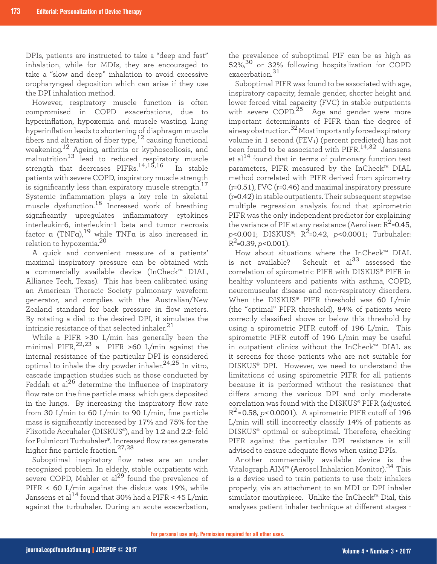DPIs, patients are instructed to take a "deep and fast" inhalation, while for MDIs, they are encouraged to take a "slow and deep" inhalation to avoid excessive oropharyngeal deposition which can arise if they use the DPI inhalation method.

However, respiratory muscle function is often compromised in COPD exacerbations, due to hyperinflation, hypoxemia and muscle wasting. Lung hyperinflation leads to shortening of diaphragm muscle fibers and alteration of fiber type,  $12$  causing functional weakening.<sup>12</sup> Ageing, arthritis or kyphoscoliosis, and malnutrition<sup>13</sup> lead to reduced respiratory muscle strength that decreases PIFRs.<sup>14,15,16</sup> In stable patients with severe COPD, inspiratory muscle strength is significantly less than expiratory muscle strength.<sup>17</sup> Systemic inflammation plays a key role in skeletal muscle dysfunction.18 Increased work of breathing significantly upregulates inflammatory cytokines interleukin-6, interleukin-1 beta and tumor necrosis factor  $\alpha$  (TNF $\alpha$ ), $^{19}$  while TNF $\alpha$  is also increased in relation to hypoxemia.<sup>20</sup>

A quick and convenient measure of a patients' maximal inspiratory pressure can be obtained with a commercially available device (InCheck™ DIAL, Alliance Tech, Texas). This has been calibrated using an American Thoracic Society pulmonary waveform generator, and complies with the Australian/New Zealand standard for back pressure in flow meters. By rotating a dial to the desired DPI, it simulates the intrinsic resistance of that selected inhaler. $^{21}$ 

While a PIFR >30 L/min has generally been the minimal PIFR,  $^{22,23}$  a PIFR >60 L/min against the internal resistance of the particular DPI is considered optimal to inhale the dry powder inhaler. $^{24,25}$  In vitro, cascade impaction studies such as those conducted by Feddah et al<sup>26</sup> determine the influence of inspiratory flow rate on the fine particle mass which gets deposited in the lungs. By increasing the inspiratory flow rate from 30 L/min to 60 L/min to 90 L/min, fine particle mass is significantly increased by 17% and 75% for the Flixotide Accuhaler (DISKUS®), and by 1.2 and 2.2- fold for Pulmicort Turbuhaler®. Increased flow rates generate higher fine particle fraction.27,28

Suboptimal inspiratory flow rates are an under recognized problem. In elderly, stable outpatients with severe COPD, Mahler et al $^{29}$  found the prevalence of PIFR < 60 L/min against the diskus was 19%, while Janssens et al<sup>14</sup> found that 30% had a PIFR < 45 L/min against the turbuhaler. During an acute exacerbation, the prevalence of suboptimal PIF can be as high as 52%,<sup>30</sup> or 32% following hospitalization for COPD exacerbation.<sup>31</sup>

Suboptimal PIFR was found to be associated with age, inspiratory capacity, female gender, shorter height and lower forced vital capacity (FVC) in stable outpatients with severe COPD.<sup>25</sup> Age and gender were more important determinants of PIFR than the degree of airway obstruction.32 Most importantly forced expiratory volume in 1 second (FEV1) (percent predicted) has not been found to be associated with PIFR.<sup>14,32</sup> Janssens et al $14$  found that in terms of pulmonary function test parameters, PIFR measured by the InCheck™ DIAL method correlated with PIFR derived from spirometry (r=0.51), FVC (r=0.46) and maximal inspiratory pressure (r=0.42) in stable outpatients. Their subsequent stepwise multiple regression analysis found that spirometric PIFR was the only independent predictor for explaining the variance of PIF at any resistance (Aeroliser:  $R^2$ =0.45, *p*<0.001; DISKUS®: R2=0.42, *p*<0.0001; Turbuhaler:  $R^2$ =0.39, *p*<0.001).

How about situations where the InCheck™ DIAL is not available? Seheult et  $a^{33}$  assessed the correlation of spirometric PIFR with DISKUS® PIFR in healthy volunteers and patients with asthma, COPD, neuromuscular disease and non-respiratory disorders. When the DISKUS® PIFR threshold was 60 L/min (the "optimal" PIFR threshold), 84% of patients were correctly classified above or below this threshold by using a spirometric PIFR cutoff of 196 L/min. This spirometric PIFR cutoff of 196 L/min may be useful in outpatient clinics without the InCheck™ DIAL as it screens for those patients who are not suitable for DISKUS® DPI. However, we need to understand the limitations of using spirometric PIFR for all patients because it is performed without the resistance that differs among the various DPI and only moderate correlation was found with the DISKUS® PIFR (adjusted  $R^2$ =0.58, *p*<0.0001). A spirometric PIFR cutoff of 196 L/min will still incorrectly classify 14% of patients as DISKUS® optimal or suboptimal. Therefore, checking PIFR against the particular DPI resistance is still advised to ensure adequate flows when using DPIs.

Another commercially available device is the Vitalograph AIM™ (Aerosol Inhalation Monitor).34 This is a device used to train patients to use their inhalers properly, via an attachment to an MDI or DPI inhaler simulator mouthpiece. Unlike the InCheck™ Dial, this analyses patient inhaler technique at different stages -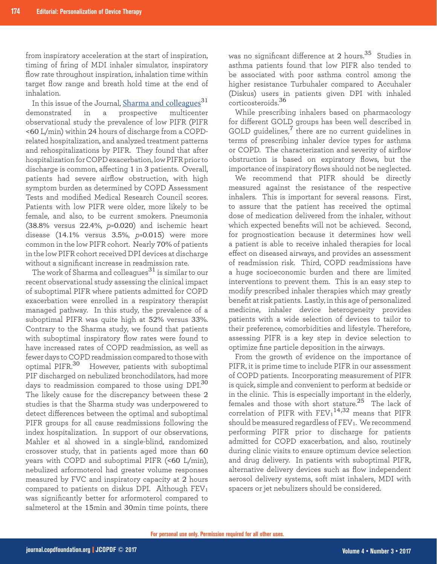from inspiratory acceleration at the start of inspiration, timing of firing of MDI inhaler simulator, inspiratory flow rate throughout inspiration, inhalation time within target flow range and breath hold time at the end of inhalation.

In this issue of the Journal, [Sharma and colleagues](https://journal.copdfoundation.org/jcopdf/id/1159/Prevalence-of-Low-Peak-Inspiratory-Flow-Rate-at-Discharge-in-Patients-Hospitalized-for-COPD-Exacerbation)<sup>31</sup> demonstrated in a prospective multicenter observational study the prevalence of low PIFR (PIFR <60 L/min) within 24 hours of discharge from a COPDrelated hospitalization, and analyzed treatment patterns and rehospitalizations by PIFR. They found that after hospitalization for COPD exacerbation, low PIFR prior to discharge is common, affecting 1 in 3 patients. Overall, patients had severe airflow obstruction, with high symptom burden as determined by COPD Assessment Tests and modified Medical Research Council scores. Patients with low PIFR were older, more likely to be female, and also, to be current smokers. Pneumonia (38.8% versus 22.4%, *p*=0.020) and ischemic heart disease (14.1% versus 3.5%, *p*=0.015) were more common in the low PIFR cohort. Nearly 70% of patients in the low PIFR cohort received DPI devices at discharge without a significant increase in readmission rate.

The work of Sharma and colleagues $^{31}$  is similar to our recent observational study assessing the clinical impact of suboptimal PIFR where patients admitted for COPD exacerbation were enrolled in a respiratory therapist managed pathway. In this study, the prevalence of a suboptimal PIFR was quite high at 52% versus 33%. Contrary to the Sharma study, we found that patients with suboptimal inspiratory flow rates were found to have increased rates of COPD readmission, as well as fewer days to COPD readmission compared to those with optimal PIFR.<sup>30</sup> However, patients with suboptimal PIF discharged on nebulized bronchodilators, had more days to readmission compared to those using DPI.<sup>30</sup> The likely cause for the discrepancy between these 2 studies is that the Sharma study was underpowered to detect differences between the optimal and suboptimal PIFR groups for all cause readmissions following the index hospitalization. In support of our observations, Mahler et al showed in a single-blind, randomized crossover study, that in patients aged more than 60 years with COPD and suboptimal PIFR (<60 L/min), nebulized arformoterol had greater volume responses measured by FVC and inspiratory capacity at 2 hours compared to patients on diskus DPI. Although FEV<sup>1</sup> was significantly better for arformoterol compared to salmeterol at the 15min and 30min time points, there

was no significant difference at 2 hours.<sup>35</sup> Studies in asthma patients found that low PIFR also tended to be associated with poor asthma control among the higher resistance Turbuhaler compared to Accuhaler (Diskus) users in patients given DPI with inhaled corticosteroids.<sup>36</sup>

While prescribing inhalers based on pharmacology for different GOLD groups has been well described in GOLD quidelines, $<sup>7</sup>$  there are no current quidelines in</sup> terms of prescribing inhaler device types for asthma or COPD. The characterization and severity of airflow obstruction is based on expiratory flows, but the importance of inspiratory flows should not be neglected.

We recommend that PIFR should be directly measured against the resistance of the respective inhalers. This is important for several reasons. First, to assure that the patient has received the optimal dose of medication delivered from the inhaler, without which expected benefits will not be achieved. Second, for prognostication because it determines how well a patient is able to receive inhaled therapies for local effect on diseased airways, and provides an assessment of readmission risk. Third, COPD readmissions have a huge socioeconomic burden and there are limited interventions to prevent them. This is an easy step to modify prescribed inhaler therapies which may greatly benefit at risk patients. Lastly, in this age of personalized medicine, inhaler device heterogeneity provides patients with a wide selection of devices to tailor to their preference, comorbidities and lifestyle. Therefore, assessing PIFR is a key step in device selection to optimize fine particle deposition in the airways.

From the growth of evidence on the importance of PIFR, it is prime time to include PIFR in our assessment of COPD patients. Incorporating measurement of PIFR is quick, simple and convenient to perform at bedside or in the clinic. This is especially important in the elderly, females and those with short stature.<sup>25</sup> The lack of correlation of PIFR with  $\text{FEV}_1{}^{14,32}$  means that PIFR should be measured regardless of  $FEV<sub>1</sub>$ . We recommend performing PIFR prior to discharge for patients admitted for COPD exacerbation, and also, routinely during clinic visits to ensure optimum device selection and drug delivery. In patients with suboptimal PIFR, alternative delivery devices such as flow independent aerosol delivery systems, soft mist inhalers, MDI with spacers or jet nebulizers should be considered.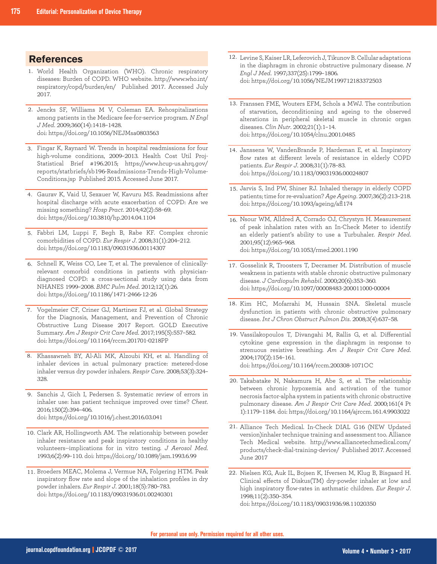## **References**

- World Health Organization (WHO). Chronic respiratory 1. diseases: Burden of COPD. WHO website. http://www.who.int/ respiratory/copd/burden/en/ Published 2017. Accessed July 2017.
- 2. Jencks SF, Williams M V, Coleman EA. Rehospitalizations among patients in the Medicare fee-for-service program. *N Engl J Med*. 2009;360(14):1418–1428. doi: https://doi.org/10.1056/NEJMsa0803563
- Fingar K, Raynard W. Trends in hospital readmissions for four 3. high-volume conditions, 2009–2013. Health Cost Util Proj-Statistical Brief #196.2015; https://www.hcup-us.ahrq.gov/ reports/statbriefs/sb196-Readmissions-Trends-High-Volume-Conditions.jsp Published 2015. Accessed June 2017.
- Gaurav K, Vaid U, Sexauer W, Kavuru MS. Readmissions after 4. hospital discharge with acute exacerbation of COPD: Are we missing something? *Hosp Pract*. 2014;42(2):58–69. doi: https://doi.org/10.3810/hp.2014.04.1104
- 5. Fabbri LM, Luppi F, Begh B, Rabe KF. Complex chronic comorbidities of COPD. *Eur Respir J*. 2008;31(1):204–212. doi: https://doi.org/10.1183/09031936.00114307
- 6. Schnell K, Weiss CO, Lee T, et al. The prevalence of clinicallyrelevant comorbid conditions in patients with physiciandiagnosed COPD: a cross-sectional study using data from NHANES 1999–2008. *BMC Pulm Med*. 2012;12(1):26. doi: https://doi.org/10.1186/1471-2466-12-26
- 7. Vogelmeier CF, Criner GJ, Martinez FJ, et al. Global Strategy for the Diagnosis, Management, and Prevention of Chronic Obstructive Lung Disease 2017 Report. GOLD Executive Summary. *Am J Respir Crit Care Med*. 2017;195(5):557–582. doi: https://doi.org/10.1164/rccm.201701-0218PP
- 8. Khassawneh BY, Al-Ali MK, Alzoubi KH, et al. Handling of inhaler devices in actual pulmonary practice: metered-dose inhaler versus dry powder inhalers. *Respir Care*. 2008;53(3):324– 328.
- 9. Sanchis J, Gich I, Pedersen S. Systematic review of errors in inhaler use: has patient technique improved over time? *Chest*. 2016;150(2):394–406. doi: https://doi.org/10.1016/j.chest.2016.03.041
- 10. Clark AR, Hollingworth AM. The relationship between powder inhaler resistance and peak inspiratory conditions in healthy volunteers--implications for in vitro testing. *J Aerosol Med*. 1993;6(2):99–110. doi: https://doi.org/10.1089/jam.1993.6.99
- 11. Broeders MEAC, Molema J, Vermue NA, Folgering HTM. Peak inspiratory flow rate and slope of the inhalation profiles in dry powder inhalers. *Eur Respir J*. 2001;18(5):780–783. doi: https://doi.org/10.1183/09031936.01.00240301
- Levine S, Kaiser LR, Leferovich J, Tikunov B. Cellular adaptations 12. in the diaphragm in chronic obstructive pulmonary disease. *N Engl J Med*. 1997;337(25):1799–1806. doi: https://doi.org/10.1056/NEJM199712183372503
- 13. Franssen FME, Wouters EFM, Schols a MWJ. The contribution of starvation, deconditioning and ageing to the observed alterations in peripheral skeletal muscle in chronic organ diseases. *Clin Nutr*. 2002;21(1):1–14. doi: https://doi.org/10.1054/clnu.2001.0485
- 14. Janssens W, VandenBrande P, Hardeman E, et al. Inspiratory flow rates at different levels of resistance in elderly COPD patients. *Eur Respir J*. 2008;31(1):78–83. doi: https://doi.org/10.1183/09031936.00024807
- 15. Jarvis S, Ind PW, Shiner RJ. Inhaled therapy in elderly COPD patients; time for re-evaluation? *Age Ageing*. 2007;36(2):213–218. doi: https://doi.org/10.1093/ageing/afl174
- 16. Nsour WM, Alldred A, Corrado OJ, Chrystyn H. Measurement of peak inhalation rates with an In-Check Meter to identify an elderly patient's ability to use a Turbuhaler. *Respir Med*. 2001;95(12):965–968. doi: https://doi.org/10.1053/rmed.2001.1190
- 17. Gosselink R, Troosters T, Decramer M. Distribution of muscle weakness in patients with stable chronic obstructive pulmonary disease. *J Cardiopulm Rehabil*. 2000;20(6):353–360. doi: https://doi.org/10.1097/00008483-200011000-00004
- 18. Kim HC, Mofarrahi M, Hussain SNA. Skeletal muscle dysfunction in patients with chronic obstructive pulmonary disease. *Int J Chron Obstruct Pulmon Dis*. 2008;3(4):637–58.
- 19. Vassilakopoulos T, Divangahi M, Rallis G, et al. Differential cytokine gene expression in the diaphragm in response to strenuous resistive breathing. *Am J Respir Crit Care Med*. 2004;170(2):154–161. doi: https://doi.org/10.1164/rccm.200308-1071OC
- Takabatake N, Nakamura H, Abe S, et al. The relationship 20.between chronic hypoxemia and activation of the tumor necrosis factor-alpha system in patients with chronic obstructive pulmonary disease. *Am J Respir Crit Care Med*. 2000;161(4 Pt 1):1179–1184. doi: https://doi.org/10.1164/ajrccm.161.4.9903022
- 21. Alliance Tech Medical. In-Check DIAL G16 (NEW Updated version)inhaler technique training and assessment too. Alliance Tech Medical website. http://www.alliancetechmedical.com/ products/check-dial-training-device/ Published 2017. Accessed June 2017
- 22. Nielsen KG, Auk IL, Bojsen K, Ifversen M, Klug B, Bisgaard H. Clinical effects of Diskus(TM) dry-powder inhaler at low and high inspiratory flow-rates in asthmatic children. *Eur Respir J*. 1998;11(2):350–354. doi: https://doi.org/10.1183/09031936.98.11020350